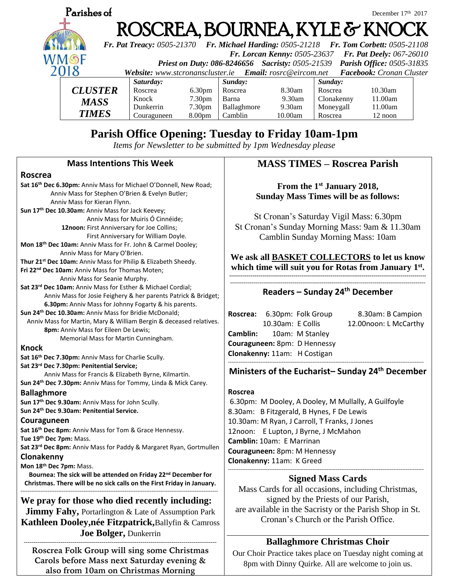

# **Parish Office Opening: Tuesday to Friday 10am-1pm**

*Items for Newsletter to be submitted by 1pm Wednesday please*

### **Mass Intentions This Week**

#### **Roscrea**

**Sat 16th Dec 6.30pm:** Anniv Mass for Michael O'Donnell, New Road; Anniv Mass for Stephen O'Brien & Evelyn Butler; Anniv Mass for Kieran Flynn. **Sun 17th Dec 10.30am:** Anniv Mass for Jack Keevey; Anniv Mass for Muiris Ó Cinnéide; **12noon:** First Anniversary for Joe Collins; First Anniversary for William Doyle. **Mon 18th Dec 10am:** Anniv Mass for Fr. John & Carmel Dooley; Anniv Mass for Mary O'Brien. **Thur 21st Dec 10am:** Anniv Mass for Philip & Elizabeth Sheedy. **Fri 22nd Dec 10am:** Anniv Mass for Thomas Moten; Anniv Mass for Seanie Murphy. **Sat 23rd Dec 10am:** Anniv Mass for Esther & Michael Cordial; Anniv Mass for Josie Feighery & her parents Patrick & Bridget;  **6.30pm:** Anniv Mass for Johnny Fogarty & his parents. **Sun 24th Dec 10.30am:** Anniv Mass for Bridie McDonald; Anniv Mass for Martin, Mary & William Bergin & deceased relatives.  **8pm:** Anniv Mass for Eileen De Lewis; Memorial Mass for Martin Cunningham. **Knock Sat 16th Dec 7.30pm:** Anniv Mass for Charlie Scully. **Sat 23rd Dec 7.30pm: Penitential Service;**  Anniv Mass for Francis & Elizabeth Byrne, Kilmartin. **Sun 24th Dec 7.30pm:** Anniv Mass for Tommy, Linda & Mick Carey.

#### **Ballaghmore**

**Sun 17th Dec 9.30am:** Anniv Mass for John Scully.

**Sun 24th Dec 9.30am: Penitential Service.**

#### **Couraguneen**

**Sat 16th Dec 8pm:** Anniv Mass for Tom & Grace Hennessy. **Tue 19th Dec 7pm:** Mass.

**Sat 23rd Dec 8pm:** Anniv Mass for Paddy & Margaret Ryan, Gortmullen **Clonakenny**

**Mon 18th Dec 7pm:** Mass.

**Bournea: The sick will be attended on Friday 22nd December for Christmas. There will be no sick calls on the First Friday in January.**

-------------------------------------------------------------------------------------------------------------- **We pray for those who died recently including: Jimmy Fahy, Portarlington & Late of Assumption Park Kathleen Dooley,née Fitzpatrick,**Ballyfin & Camross **Joe Bolger,** Dunkerrin

--------------------------------------------------------------------------------------------------- **Roscrea Folk Group will sing some Christmas Carols before Mass next Saturday evening & also from 10am on Christmas Morning**

# **MASS TIMES – Roscrea Parish**

**From the 1st January 2018, Sunday Mass Times will be as follows:**

St Cronan's Saturday Vigil Mass: 6.30pm St Cronan's Sunday Morning Mass: 9am & 11.30am Camblin Sunday Morning Mass: 10am

### **We ask all BASKET COLLECTORS to let us know which time will suit you for Rotas from January 1 st .**

**-----------------------------------------------------------------------------------------------------** ----------------------------------------------------------------------------------------------------

### **Readers – Sunday 24th December**

Roscrea: 6.30pm: Folk Group 8.30am: B Campion 10.30am: E Collis 12.00noon: L McCarthy **Camblin:** 10am: M Stanley **Couraguneen:** 8pm: D Hennessy **Clonakenny:** 11am: H Costigan -------------------------------------------------------------------------------------------------------------

# **Ministers of the Eucharist– Sunday 24th December**

#### **Roscrea**

6.30pm: M Dooley, A Dooley, M Mullally, A Guilfoyle 8.30am: B Fitzgerald, B Hynes, F De Lewis 10.30am: M Ryan, J Carroll, T Franks, J Jones 12noon: E Lupton, J Byrne, J McMahon **Camblin:** 10am: E Marrinan **Couraguneen:** 8pm: M Hennessy **Clonakenny:** 11am: K Greed -------------------------------------------------------------------------------------------------------------

# **Signed Mass Cards**

Mass Cards for all occasions, including Christmas, signed by the Priests of our Parish, are available in the Sacristy or the Parish Shop in St. Cronan's Church or the Parish Office.

# **Ballaghmore Christmas Choir**

Our Choir Practice takes place on Tuesday night coming at 8pm with Dinny Quirke. All are welcome to join us.